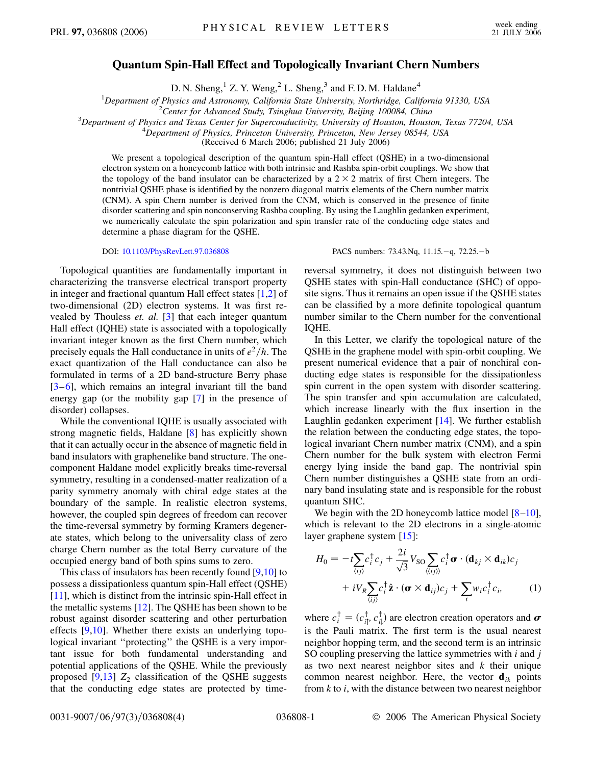## **Quantum Spin-Hall Effect and Topologically Invariant Chern Numbers**

D. N. Sheng, $1 Z. Y.$  Weng, $2 L.$  Sheng, $3$  and F. D. M. Haldane<sup>4</sup>

<sup>1</sup>Department of Physics and Astronomy, California State University, Northridge, California 91330, USA<br><sup>2</sup>Center for Advanced Study Tsinghua University, Baijing 100084 China

*Center for Advanced Study, Tsinghua University, Beijing 100084, China* <sup>3</sup>

<sup>3</sup>Department of Physics and Texas Center for Superconductivity, University of Houston, Houston, Texas 77204, USA

*Department of Physics, Princeton University, Princeton, New Jersey 08544, USA*

(Received 6 March 2006; published 21 July 2006)

We present a topological description of the quantum spin-Hall effect (QSHE) in a two-dimensional electron system on a honeycomb lattice with both intrinsic and Rashba spin-orbit couplings. We show that the topology of the band insulator can be characterized by a  $2 \times 2$  matrix of first Chern integers. The nontrivial QSHE phase is identified by the nonzero diagonal matrix elements of the Chern number matrix (CNM). A spin Chern number is derived from the CNM, which is conserved in the presence of finite disorder scattering and spin nonconserving Rashba coupling. By using the Laughlin gedanken experiment, we numerically calculate the spin polarization and spin transfer rate of the conducting edge states and determine a phase diagram for the QSHE.

Topological quantities are fundamentally important in characterizing the transverse electrical transport property in integer and fractional quantum Hall effect states [\[1,](#page-3-0)[2](#page-3-1)] of two-dimensional (2D) electron systems. It was first revealed by Thouless *et. al.* [[3\]](#page-3-2) that each integer quantum Hall effect (IQHE) state is associated with a topologically invariant integer known as the first Chern number, which precisely equals the Hall conductance in units of  $e^2/h$ . The exact quantization of the Hall conductance can also be formulated in terms of a 2D band-structure Berry phase [\[3](#page-3-2)–[6\]](#page-3-3), which remains an integral invariant till the band energy gap (or the mobility gap [\[7](#page-3-4)] in the presence of disorder) collapses.

While the conventional IQHE is usually associated with strong magnetic fields, Haldane [\[8](#page-3-5)] has explicitly shown that it can actually occur in the absence of magnetic field in band insulators with graphenelike band structure. The onecomponent Haldane model explicitly breaks time-reversal symmetry, resulting in a condensed-matter realization of a parity symmetry anomaly with chiral edge states at the boundary of the sample. In realistic electron systems, however, the coupled spin degrees of freedom can recover the time-reversal symmetry by forming Kramers degenerate states, which belong to the universality class of zero charge Chern number as the total Berry curvature of the occupied energy band of both spins sums to zero.

This class of insulators has been recently found [[9,](#page-3-6)[10](#page-3-7)] to possess a dissipationless quantum spin-Hall effect (QSHE) [\[11\]](#page-3-8), which is distinct from the intrinsic spin-Hall effect in the metallic systems [\[12\]](#page-3-9). The QSHE has been shown to be robust against disorder scattering and other perturbation effects [[9](#page-3-6)[,10\]](#page-3-7). Whether there exists an underlying topological invariant ''protecting'' the QSHE is a very important issue for both fundamental understanding and potential applications of the QSHE. While the previously proposed  $[9,13]$  $[9,13]$   $Z_2$  classification of the QSHE suggests that the conducting edge states are protected by time-

DOI: [10.1103/PhysRevLett.97.036808](http://dx.doi.org/10.1103/PhysRevLett.97.036808) PACS numbers: 73.43.Nq, 11.15.-q, 72.25.-b

reversal symmetry, it does not distinguish between two QSHE states with spin-Hall conductance (SHC) of opposite signs. Thus it remains an open issue if the QSHE states can be classified by a more definite topological quantum number similar to the Chern number for the conventional IQHE.

In this Letter, we clarify the topological nature of the QSHE in the graphene model with spin-orbit coupling. We present numerical evidence that a pair of nonchiral conducting edge states is responsible for the dissipationless spin current in the open system with disorder scattering. The spin transfer and spin accumulation are calculated, which increase linearly with the flux insertion in the Laughlin gedanken experiment [\[14](#page-3-11)]. We further establish the relation between the conducting edge states, the topological invariant Chern number matrix (CNM), and a spin Chern number for the bulk system with electron Fermi energy lying inside the band gap. The nontrivial spin Chern number distinguishes a QSHE state from an ordinary band insulating state and is responsible for the robust quantum SHC.

We begin with the 2D honeycomb lattice model  $[8-10]$  $[8-10]$  $[8-10]$ , which is relevant to the 2D electrons in a single-atomic layer graphene system [[15](#page-3-12)]:

<span id="page-0-0"></span>
$$
H_0 = -t \sum_{\langle ij \rangle} c_i^{\dagger} c_j + \frac{2i}{\sqrt{3}} V_{\text{SO}} \sum_{\langle\langle ij \rangle\rangle} c_i^{\dagger} \boldsymbol{\sigma} \cdot (\mathbf{d}_{kj} \times \mathbf{d}_{ik}) c_j
$$

$$
+ i V_R \sum_{\langle ij \rangle} c_i^{\dagger} \hat{\mathbf{z}} \cdot (\boldsymbol{\sigma} \times \mathbf{d}_{ij}) c_j + \sum_i w_i c_i^{\dagger} c_i, \qquad (1)
$$

where  $c_i^{\dagger} = (c_{i\uparrow}^{\dagger}, c_{i\downarrow}^{\dagger})$  are electron creation operators and  $\boldsymbol{\sigma}$ is the Pauli matrix. The first term is the usual nearest neighbor hopping term, and the second term is an intrinsic SO coupling preserving the lattice symmetries with *i* and *j* as two next nearest neighbor sites and *k* their unique common nearest neighbor. Here, the vector  $\mathbf{d}_{ik}$  points from *k* to *i*, with the distance between two nearest neighbor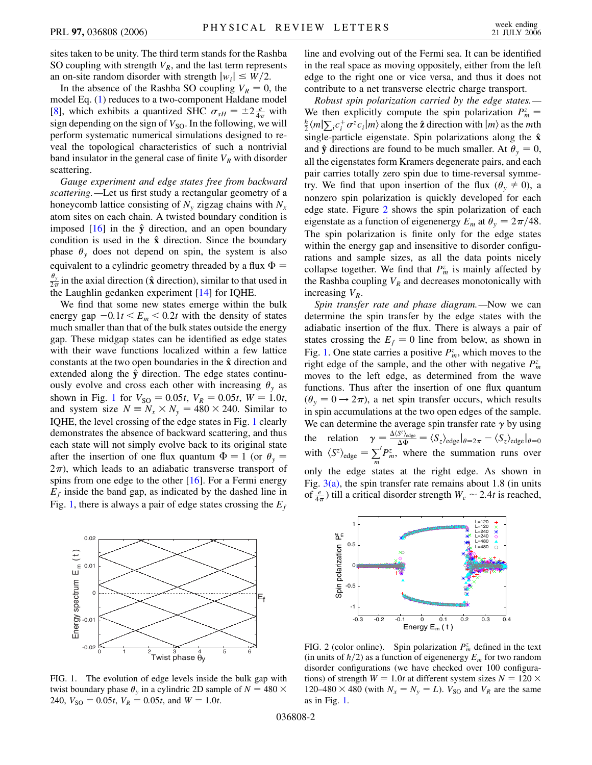sites taken to be unity. The third term stands for the Rashba SO coupling with strength  $V_R$ , and the last term represents an on-site random disorder with strength  $|w_i| \leq W/2$ .

In the absence of the Rashba SO coupling  $V_R = 0$ , the model Eq. [\(1](#page-0-0)) reduces to a two-component Haldane model [\[8\]](#page-3-5), which exhibits a quantized SHC  $\sigma_{sH} = \pm 2 \frac{e}{4\pi}$  with sign depending on the sign of  $V_{\text{SO}}$ . In the following, we will perform systematic numerical simulations designed to reveal the topological characteristics of such a nontrivial band insulator in the general case of finite  $V_R$  with disorder scattering.

*Gauge experiment and edge states free from backward scattering.—*Let us first study a rectangular geometry of a honeycomb lattice consisting of  $N_{y}$  zigzag chains with  $N_{x}$ atom sites on each chain. A twisted boundary condition is imposed  $[16]$  $[16]$  in the  $\hat{y}$  direction, and an open boundary condition is used in the  $\hat{x}$  direction. Since the boundary phase  $\theta$ <sub>y</sub> does not depend on spin, the system is also equivalent to a cylindric geometry threaded by a flux  $\Phi =$  $\theta$ <sub>y</sub>  $\frac{\partial y}{2\pi}$  in the axial direction ( $\hat{\mathbf{x}}$  direction), similar to that used in the Laughlin gedanken experiment [[14](#page-3-11)] for IQHE.

We find that some new states emerge within the bulk energy gap  $-0.1t < E_m < 0.2t$  with the density of states much smaller than that of the bulk states outside the energy gap. These midgap states can be identified as edge states with their wave functions localized within a few lattice constants at the two open boundaries in the **x**^ direction and extended along the  $\hat{y}$  direction. The edge states continuously evolve and cross each other with increasing  $\theta$ <sub>y</sub> as shown in Fig. [1](#page-1-0) for  $V_{\text{SO}} = 0.05t$ ,  $V_R = 0.05t$ ,  $W = 1.0t$ , and system size  $N = N_x \times N_y = 480 \times 240$ . Similar to IQHE, the level crossing of the edge states in Fig. [1](#page-1-0) clearly demonstrates the absence of backward scattering, and thus each state will not simply evolve back to its original state after the insertion of one flux quantum  $\Phi = 1$  (or  $\theta_y =$  $2\pi$ ), which leads to an adiabatic transverse transport of spins from one edge to the other  $[16]$  $[16]$  $[16]$ . For a Fermi energy  $E_f$  inside the band gap, as indicated by the dashed line in Fig. [1](#page-1-0), there is always a pair of edge states crossing the  $E_f$ 

<span id="page-1-0"></span>

FIG. 1. The evolution of edge levels inside the bulk gap with twist boundary phase  $\theta_y$  in a cylindric 2D sample of  $N = 480 \times$ 240,  $V_{SO} = 0.05t$ ,  $V_R = 0.05t$ , and  $W = 1.0t$ .

line and evolving out of the Fermi sea. It can be identified in the real space as moving oppositely, either from the left edge to the right one or vice versa, and thus it does not contribute to a net transverse electric charge transport.

*Robust spin polarization carried by the edge states.—* We then explicitly compute the spin polarization  $P_m^z =$  $\frac{\hbar}{2}$   $\langle m | \sum_i c_i^+ \sigma^z c_i | m \rangle$  along the **2** direction with  $|m \rangle$  as the *m*th single-particle eigenstate. Spin polarizations along the **x**^ and  $\hat{y}$  directions are found to be much smaller. At  $\theta_y = 0$ , all the eigenstates form Kramers degenerate pairs, and each pair carries totally zero spin due to time-reversal symmetry. We find that upon insertion of the flux ( $\theta$ <sup>v</sup>  $\neq$  0), a nonzero spin polarization is quickly developed for each edge state. Figure [2](#page-1-1) shows the spin polarization of each eigenstate as a function of eigenenergy  $E_m$  at  $\theta_y = 2\pi/48$ . The spin polarization is finite only for the edge states within the energy gap and insensitive to disorder configurations and sample sizes, as all the data points nicely collapse together. We find that  $P_m^z$  is mainly affected by the Rashba coupling  $V_R$  and decreases monotonically with increasing  $V_R$ .

*Spin transfer rate and phase diagram.—*Now we can determine the spin transfer by the edge states with the adiabatic insertion of the flux. There is always a pair of states crossing the  $E_f = 0$  line from below, as shown in Fig. [1](#page-1-0). One state carries a positive  $P_m^z$ , which moves to the right edge of the sample, and the other with negative  $P_m^z$ moves to the left edge, as determined from the wave functions. Thus after the insertion of one flux quantum  $(\theta_y = 0 \rightarrow 2\pi)$ , a net spin transfer occurs, which results in spin accumulations at the two open edges of the sample. We can determine the average spin transfer rate  $\gamma$  by using the relation  $\gamma = \frac{\Delta \langle S^z \rangle_{\text{edge}}}{\Delta \Phi}$  $\frac{S^2/\text{edge}}{\Delta \Phi} = \langle S_z \rangle_{\text{edge}}|_{\theta=2\pi} - \langle S_z \rangle_{\text{edge}}|_{\theta=0}$ with  $\langle S^z \rangle_{\text{edge}} = \sum_m P_m^z$ , where the summation runs over only the edge states at the right edge. As shown in Fig.  $3(a)$ , the spin transfer rate remains about 1.8 (in units of  $\frac{e}{4\pi}$ ) till a critical disorder strength  $W_c \sim 2.4t$  is reached,

<span id="page-1-1"></span>

FIG. 2 (color online). Spin polarization  $P_m^z$  defined in the text (in units of  $\hbar/2$ ) as a function of eigenenergy  $E_m$  for two random disorder configurations (we have checked over 100 configurations) of strength  $W = 1.0t$  at different system sizes  $N = 120 \times$ 120–480  $\times$  480 (with  $N_x = N_y = L$ ).  $V_{\text{SO}}$  and  $V_R$  are the same as in Fig. [1](#page-1-0).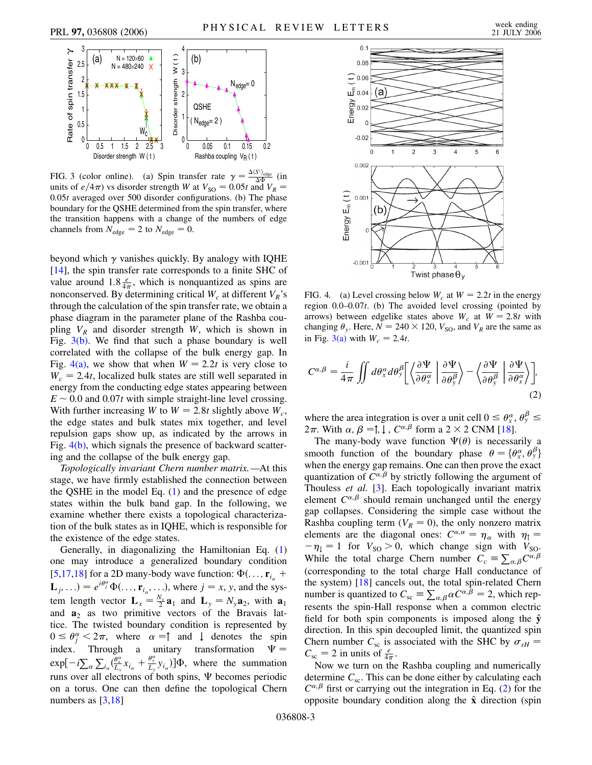



<span id="page-2-0"></span>FIG. 3 (color online). (a) Spin transfer rate  $\gamma = \frac{\Delta \langle S^z \rangle_{\text{edge}}}{\Delta \Phi}$  (in units of  $e/4\pi$ ) vs disorder strength *W* at  $V_{\text{SO}} = 0.05t$  and  $V_R =$ 0*:*05*t* averaged over 500 disorder configurations. (b) The phase boundary for the QSHE determined from the spin transfer, where the transition happens with a change of the numbers of edge channels from  $N_{\text{edge}} = 2$  to  $N_{\text{edge}} = 0$ .

beyond which  $\gamma$  vanishes quickly. By analogy with IQHE [\[14\]](#page-3-11), the spin transfer rate corresponds to a finite SHC of value around  $1.8 \frac{e}{4\pi}$ , which is nonquantized as spins are nonconserved. By determining critical  $W_c$  at different  $V_R$ 's through the calculation of the spin transfer rate, we obtain a phase diagram in the parameter plane of the Rashba coupling  $V_R$  and disorder strength *W*, which is shown in Fig.  $3(b)$ . We find that such a phase boundary is well correlated with the collapse of the bulk energy gap. In Fig.  $4(a)$ , we show that when  $W = 2.2t$  is very close to  $W_c = 2.4t$ , localized bulk states are still well separated in energy from the conducting edge states appearing between  $E \sim 0.0$  and  $0.07t$  with simple straight-line level crossing. With further increasing *W* to  $W = 2.8t$  slightly above  $W_c$ , the edge states and bulk states mix together, and level repulsion gaps show up, as indicated by the arrows in Fig.  $4(b)$ , which signals the presence of backward scattering and the collapse of the bulk energy gap.

*Topologically invariant Chern number matrix.—*At this stage, we have firmly established the connection between the QSHE in the model Eq. ([1](#page-0-0)) and the presence of edge states within the bulk band gap. In the following, we examine whether there exists a topological characterization of the bulk states as in IQHE, which is responsible for the existence of the edge states.

Generally, in diagonalizing the Hamiltonian Eq. [\(1\)](#page-0-0) one may introduce a generalized boundary condition [\[5,](#page-3-14)[17](#page-3-15)[,18\]](#page-3-16) for a 2D many-body wave function:  $\Phi(\ldots, \mathbf{r}_{i_{n}} + \mathbf{r}_{i_{n}})$  $\mathbf{L}_j$ , ...) =  $e^{i\theta_j^{\alpha}}\Phi(\ldots, \mathbf{r}_{i_{\alpha}}, \ldots)$ , where  $j = x, y$ , and the system length vector  $\mathbf{L}_x = \frac{N_x}{2} \mathbf{a}_1$  and  $\mathbf{L}_y = N_y \mathbf{a}_2$ , with  $\mathbf{a}_1$ and  $\mathbf{a}_2$  as two primitive vectors of the Bravais lattice. The twisted boundary condition is represented by  $0 \le \theta_j^{\alpha} < 2\pi$ , where  $\alpha = \uparrow$  and  $\downarrow$  denotes the spin index. Through a unitary transformation  $\Psi =$  $\exp[-i\sum_{\alpha}\sum_{i_{\alpha}}(\frac{\theta_{x}^{\alpha}}{L_{x}}x_{i_{\alpha}}+\frac{\theta_{y}^{\alpha}}{L_{y}}y_{i_{\alpha}})]\Phi$ , where the summation runs over all electrons of both spins,  $\Psi$  becomes periodic on a torus. One can then define the topological Chern numbers as [\[3](#page-3-2)[,18\]](#page-3-16)



<span id="page-2-1"></span>FIG. 4. (a) Level crossing below  $W_c$  at  $W = 2.2t$  in the energy region 0*:*0–0*:*07*t*. (b) The avoided level crossing (pointed by arrows) between edgelike states above  $W_c$  at  $W = 2.8t$  with changing  $\theta_{v}$ . Here,  $N = 240 \times 120$ ,  $V_{\text{SO}}$ , and  $V_{R}$  are the same as in Fig. [3\(a\)](#page-2-0) with  $W_c = 2.4t$ .

<span id="page-2-2"></span>
$$
C^{\alpha,\beta} = \frac{i}{4\pi} \iint d\theta_x^{\alpha} d\theta_y^{\beta} \left[ \left\langle \frac{\partial \Psi}{\partial \theta_x^{\alpha}} \middle| \frac{\partial \Psi}{\partial \theta_y^{\beta}} \right\rangle - \left\langle \frac{\partial \Psi}{\partial \theta_y^{\beta}} \middle| \frac{\partial \Psi}{\partial \theta_x^{\alpha}} \right\rangle \right],
$$
\n(2)

where the area integration is over a unit cell  $0 \le \theta_x^{\alpha}, \theta_y^{\beta} \le$  $2\pi$ . With  $\alpha$ ,  $\beta = \uparrow, \downarrow$ ,  $C^{\alpha,\beta}$  form a 2 × 2 CNM [\[18\]](#page-3-16).

The many-body wave function  $\Psi(\theta)$  is necessarily a smooth function of the boundary phase  $\theta = {\theta_x^{\alpha}, \theta_y^{\beta}}$ when the energy gap remains. One can then prove the exact quantization of  $C^{\alpha,\beta}$  by strictly following the argument of Thouless *et al.* [[3](#page-3-2)]. Each topologically invariant matrix element  $C^{\alpha,\beta}$  should remain unchanged until the energy gap collapses. Considering the simple case without the Rashba coupling term  $(V_R = 0)$ , the only nonzero matrix elements are the diagonal ones:  $C^{\alpha,\alpha} = \eta_{\alpha}$  with  $\eta_{\uparrow} =$  $-\eta_1 = 1$  for  $V_{\text{SO}} > 0$ , which change sign with  $V_{\text{SO}}$ . While the total charge Chern number  $C_c \equiv \sum_{\alpha,\beta} C^{\alpha,\beta}$ (corresponding to the total charge Hall conductance of the system) [\[18](#page-3-16)] cancels out, the total spin-related Chern number is quantized to  $C_{\rm sc} \equiv \sum_{\alpha,\beta} \alpha C^{\alpha,\beta} = 2$ , which represents the spin-Hall response when a common electric field for both spin components is imposed along the  $\hat{y}$ direction. In this spin decoupled limit, the quantized spin Chern number  $C_{\rm sc}$  is associated with the SHC by  $\sigma_{sH}$  =  $C_{\text{sc}} = 2$  in units of  $\frac{e}{4\pi}$ .

Now we turn on the Rashba coupling and numerically determine  $C_{\rm sc}$ . This can be done either by calculating each  $C^{\alpha,\beta}$  first or carrying out the integration in Eq. [\(2](#page-2-2)) for the opposite boundary condition along the **x**^ direction (spin